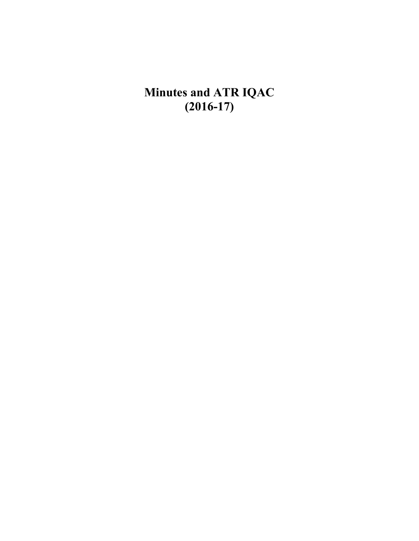**Minutes and ATR IQAC (2016-17)**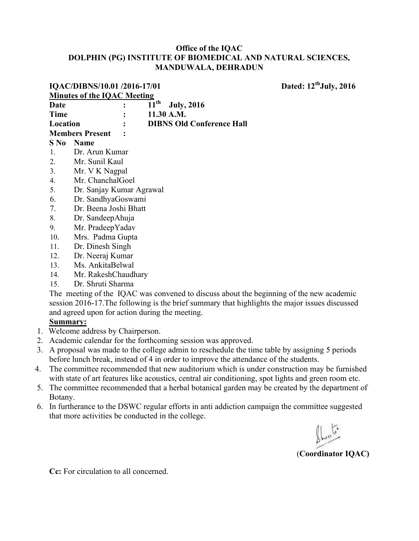|                                                                                                | Dated: 12 <sup>th</sup> July, 2016<br>IQAC/DIBNS/10.01 /2016-17/01 |                             |                                  |  |
|------------------------------------------------------------------------------------------------|--------------------------------------------------------------------|-----------------------------|----------------------------------|--|
|                                                                                                | <b>Minutes of the IQAC Meeting</b>                                 |                             |                                  |  |
| Date                                                                                           |                                                                    | $\overline{11}^{\text{th}}$ | <b>July, 2016</b>                |  |
| <b>Time</b>                                                                                    |                                                                    | 11.30 A.M.                  |                                  |  |
| Location                                                                                       |                                                                    |                             | <b>DIBNS Old Conference Hall</b> |  |
|                                                                                                | <b>Members Present</b>                                             |                             |                                  |  |
| $S$ No                                                                                         | <b>Name</b>                                                        |                             |                                  |  |
| $\mathbf{1}$ .                                                                                 | Dr. Arun Kumar                                                     |                             |                                  |  |
| 2.                                                                                             | Mr. Sunil Kaul                                                     |                             |                                  |  |
| 3 <sub>1</sub>                                                                                 | Mr. V K Nagpal                                                     |                             |                                  |  |
| 4.                                                                                             | Mr. ChanchalGoel                                                   |                             |                                  |  |
| 5.                                                                                             | Dr. Sanjay Kumar Agrawal                                           |                             |                                  |  |
| 6.                                                                                             | Dr. SandhyaGoswami                                                 |                             |                                  |  |
| 7.                                                                                             | Dr. Beena Joshi Bhatt                                              |                             |                                  |  |
| 8.                                                                                             | Dr. SandeepAhuja                                                   |                             |                                  |  |
| 9.                                                                                             | Mr. PradeepYadav                                                   |                             |                                  |  |
| 10.                                                                                            | Mrs. Padma Gupta                                                   |                             |                                  |  |
| 11.                                                                                            | Dr. Dinesh Singh                                                   |                             |                                  |  |
| 12.                                                                                            | Dr. Neeraj Kumar                                                   |                             |                                  |  |
| 13.                                                                                            | Ms. AnkitaBelwal                                                   |                             |                                  |  |
| 14.                                                                                            | Mr. RakeshChaudhary                                                |                             |                                  |  |
| 15.                                                                                            | Dr. Shruti Sharma                                                  |                             |                                  |  |
| The meeting of the IQAC was convened to discuss about the beginning of the new academic        |                                                                    |                             |                                  |  |
| session 2016-17. The following is the brief summary that highlights the major issues discussed |                                                                    |                             |                                  |  |
| and agreed upon for action during the meeting.                                                 |                                                                    |                             |                                  |  |
| Summary:                                                                                       |                                                                    |                             |                                  |  |
| Welcome address by Chairperson.                                                                |                                                                    |                             |                                  |  |

- Academic calendar for the forthcoming session was approved. 2.
- 3. A proposal was made to the college admin to reschedule the time table by assigning 5 periods before lunch break, instead of 4 in order to improve the attendance of the students.
- 4. The committee recommended that new auditorium which is under construction may be furnished with state of art features like acoustics, central air conditioning, spot lights and green room etc.
- 5. The committee recommended that a herbal botanical garden may be created by the department of Botany.
- 6. In furtherance to the DSWC regular efforts in anti addiction campaign the committee suggested that more activities be conducted in the college.

(**Coordinator IQAC)** 

**Cc:** For circulation to all concerned.

1.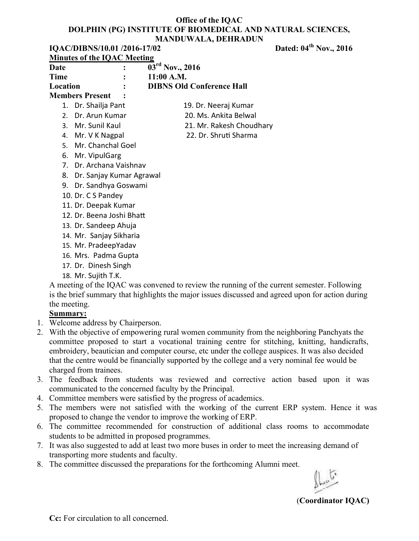|                        | IQAC/DIBNS/10.01/2016-17/02        |                                  |  |
|------------------------|------------------------------------|----------------------------------|--|
|                        | <b>Minutes of the IQAC Meeting</b> |                                  |  |
| Date                   |                                    | $03^{\text{rd}}$ Nov., 2016      |  |
| <b>Time</b>            |                                    | $11:00$ A.M.                     |  |
| Location               |                                    | <b>DIBNS Old Conference Hall</b> |  |
| <b>Members Present</b> |                                    |                                  |  |
|                        | 1. Dr. Shailja Pant                | 19. Dr. Neeraj Kumar             |  |
|                        | 2. Dr. Arun Kumar                  | 20. Ms. Ankita Belwal            |  |
|                        | 3. Mr. Sunil Kaul                  | 21. Mr. Rakesh Choudhary         |  |
|                        | 4. Mr. V K Nagpal                  | 22. Dr. Shruti Sharma            |  |
|                        | 5. Mr. Chanchal Goel               |                                  |  |
|                        | 6. Mr. VipulGarg                   |                                  |  |
|                        | 7. Dr. Archana Vaishnav            |                                  |  |
| 8.                     | Dr. Sanjay Kumar Agrawal           |                                  |  |
|                        | 9. Dr. Sandhya Goswami             |                                  |  |
|                        | 10. Dr. C S Pandey                 |                                  |  |
|                        | 11. Dr. Deepak Kumar               |                                  |  |

- 12. Dr. Beena Joshi Bhatt
- 13. Dr. Sandeep Ahuja
- 14. Mr. Sanjay Sikharia
- 15. Mr. PradeepYadav
- 16. Mrs. Padma Gupta
- 17. Dr. Dinesh Singh
- 18. Mr. Sujith T.K.

A meeting of the IQAC was convened to review the running of the current semester. Following is the brief summary that highlights the major issues discussed and agreed upon for action during the meeting.

# **Summary:**

- 1. Welcome address by Chairperson.
- 2. With the objective of empowering rural women community from the neighboring Panchyats the committee proposed to start a vocational training centre for stitching, knitting, handicrafts, embroidery, beautician and computer course, etc under the college auspices. It was also decided that the centre would be financially supported by the college and a very nominal fee would be charged from trainees.
- 3. The feedback from students was reviewed and corrective action based upon it was communicated to the concerned faculty by the Principal.
- 4. Committee members were satisfied by the progress of academics.
- 5. The members were not satisfied with the working of the current ERP system. Hence it was proposed to change the vendor to improve the working of ERP.
- 6. The committee recommended for construction of additional class rooms to accommodate students to be admitted in proposed programmes.
- 7. It was also suggested to add at least two more buses in order to meet the increasing demand of transporting more students and faculty.
- 8. The committee discussed the preparations for the forthcoming Alumni meet.

(**Coordinator IQAC)** 

**Dated: 04<sup>th</sup> Nov., 2016**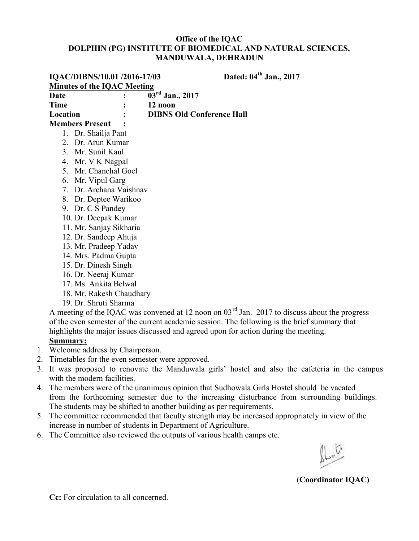|                          | IQAC/DIBNS/10.01 /2016-17/03       | Dated: 04 <sup>th</sup> Jan., 2017                                                                 |  |  |
|--------------------------|------------------------------------|----------------------------------------------------------------------------------------------------|--|--|
|                          | <b>Minutes of the IQAC Meeting</b> |                                                                                                    |  |  |
| <b>Date</b>              |                                    | $03^{\text{rd}}$ Jan., 2017                                                                        |  |  |
| <b>Time</b>              |                                    | 12 noon                                                                                            |  |  |
| Location                 |                                    | <b>DIBNS Old Conference Hall</b>                                                                   |  |  |
|                          | <b>Members Present</b>             |                                                                                                    |  |  |
|                          | 1. Dr. Shailja Pant                |                                                                                                    |  |  |
|                          | 2. Dr. Arun Kumar                  |                                                                                                    |  |  |
|                          | 3. Mr. Sunil Kaul                  |                                                                                                    |  |  |
|                          | 4. Mr. V K Nagpal                  |                                                                                                    |  |  |
| $5 -$                    | Mr. Chanchal Goel                  |                                                                                                    |  |  |
| 6.                       | Mr. Vipul Garg                     |                                                                                                    |  |  |
| 7                        | Dr. Archana Vaishnav               |                                                                                                    |  |  |
| 8.                       | Dr. Deptee Warikoo                 |                                                                                                    |  |  |
| 9.                       | Dr. C S Pandey                     |                                                                                                    |  |  |
|                          | 10. Dr. Deepak Kumar               |                                                                                                    |  |  |
|                          | 11. Mr. Sanjay Sikharia            |                                                                                                    |  |  |
|                          | 12. Dr. Sandeep Ahuja              |                                                                                                    |  |  |
|                          | 13. Mr. Pradeep Yadav              |                                                                                                    |  |  |
|                          | 14. Mrs. Padma Gupta               |                                                                                                    |  |  |
| 15. Dr. Dinesh Singh     |                                    |                                                                                                    |  |  |
| 16. Dr. Neeraj Kumar     |                                    |                                                                                                    |  |  |
| 17. Ms. Ankita Belwal    |                                    |                                                                                                    |  |  |
| 18. Mr. Rakesh Chaudhary |                                    |                                                                                                    |  |  |
|                          | 19. Dr. Shruti Sharma              |                                                                                                    |  |  |
|                          |                                    | A meeting of the IQAC was convened at 12 noon on $03^{rd}$ Jan. 2017 to discuss about the progress |  |  |
|                          |                                    | of the even semester of the current academic session. The following is the brief summary that      |  |  |
|                          |                                    | highlights the major issues discussed and agreed upon for action during the meeting.               |  |  |

- **Summary:**  1. Welcome address by Chairperson.
- 2. Timetables for the even semester were approved.
- 3. It was proposed to renovate the Manduwala girls' hostel and also the cafeteria in the campus with the modern facilities.
- 4. The members were of the unanimous opinion that Sudhowala Girls Hostel should be vacated from the forthcoming semester due to the increasing disturbance from surrounding buildings. The students may be shifted to another building as per requirements.
- 5. The committee recommended that faculty strength may be increased appropriately in view of the increase in number of students in Department of Agriculture.
- 6. The Committee also reviewed the outputs of various health camps etc.

(**Coordinator IQAC)**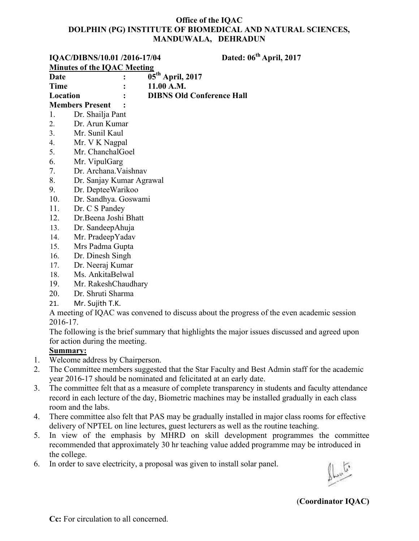|                 | IQAC/DIBNS/10.01 /2016-17/04       |                                                                    | Dated: 06 <sup>th</sup> April, 2017                                                           |
|-----------------|------------------------------------|--------------------------------------------------------------------|-----------------------------------------------------------------------------------------------|
|                 | <b>Minutes of the IQAC Meeting</b> |                                                                    |                                                                                               |
| Date            |                                    | $\overline{05}^{\text{th}}$ April, 2017                            |                                                                                               |
| <b>Time</b>     |                                    | 11.00 A.M.                                                         |                                                                                               |
| Location        |                                    | <b>DIBNS Old Conference Hall</b>                                   |                                                                                               |
|                 | <b>Members Present</b>             |                                                                    |                                                                                               |
| 1.              | Dr. Shailja Pant                   |                                                                    |                                                                                               |
| 2.              | Dr. Arun Kumar                     |                                                                    |                                                                                               |
| 3.              | Mr. Sunil Kaul                     |                                                                    |                                                                                               |
| 4.              | Mr. V K Nagpal                     |                                                                    |                                                                                               |
| 5.              | Mr. ChanchalGoel                   |                                                                    |                                                                                               |
| 6.              | Mr. VipulGarg                      |                                                                    |                                                                                               |
| 7.              | Dr. Archana. Vaishnav              |                                                                    |                                                                                               |
| 8.              | Dr. Sanjay Kumar Agrawal           |                                                                    |                                                                                               |
| 9.              | Dr. DepteeWarikoo                  |                                                                    |                                                                                               |
| 10.             | Dr. Sandhya. Goswami               |                                                                    |                                                                                               |
| 11.             | Dr. C S Pandey                     |                                                                    |                                                                                               |
| 12.             | Dr.Beena Joshi Bhatt               |                                                                    |                                                                                               |
| 13.             | Dr. SandeepAhuja                   |                                                                    |                                                                                               |
| 14.             | Mr. PradeepYadav                   |                                                                    |                                                                                               |
| 15.             | Mrs Padma Gupta                    |                                                                    |                                                                                               |
| 16.             | Dr. Dinesh Singh                   |                                                                    |                                                                                               |
| 17.             | Dr. Neeraj Kumar                   |                                                                    |                                                                                               |
| 18.             | Ms. AnkitaBelwal                   |                                                                    |                                                                                               |
| 19.             | Mr. RakeshChaudhary                |                                                                    |                                                                                               |
| 20.             | Dr. Shruti Sharma                  |                                                                    |                                                                                               |
| 21.             | Mr. Sujith T.K.                    |                                                                    |                                                                                               |
|                 |                                    |                                                                    | A meeting of IQAC was convened to discuss about the progress of the even academic session     |
| 2016-17.        |                                    |                                                                    |                                                                                               |
|                 |                                    |                                                                    | The following is the brief summary that highlights the major issues discussed and agreed upon |
|                 | for action during the meeting.     |                                                                    |                                                                                               |
| <b>Summary:</b> |                                    |                                                                    |                                                                                               |
|                 | Welcome address by Chairperson.    |                                                                    |                                                                                               |
|                 |                                    |                                                                    | The Committee members suggested that the Star Faculty and Best Admin staff for the academic   |
|                 |                                    | year 2016-17 should be nominated and felicitated at an early date. |                                                                                               |
|                 |                                    |                                                                    |                                                                                               |

- 3. The committee felt that as a measure of complete transparency in students and faculty attendance record in each lecture of the day, Biometric machines may be installed gradually in each class room and the labs.
- 4. There committee also felt that PAS may be gradually installed in major class rooms for effective delivery of NPTEL on line lectures, guest lecturers as well as the routine teaching.
- 5. In view of the emphasis by MHRD on skill development programmes the committee recommended that approximately 30 hr teaching value added programme may be introduced in the college.
- 6. In order to save electricity, a proposal was given to install solar panel.

(**Coordinator IQAC)**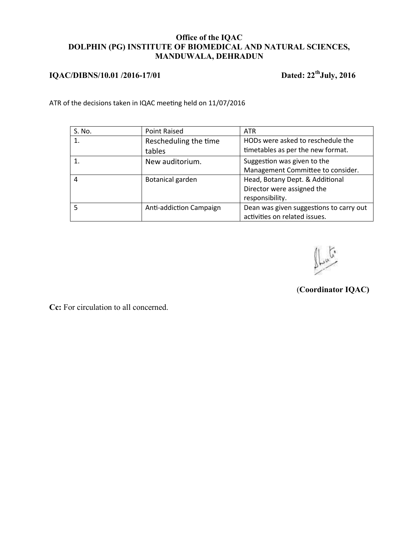# **IQAC/DIBNS/10.01 /2016-17/01 Dated: 22thJuly, 2016**

ATR of the decisions taken in IQAC meeting held on 11/07/2016

| S. No. | Point Raised            | <b>ATR</b>                              |
|--------|-------------------------|-----------------------------------------|
|        | Rescheduling the time   | HODs were asked to reschedule the       |
|        | tables                  | timetables as per the new format.       |
|        | New auditorium.         | Suggestion was given to the             |
|        |                         | Management Committee to consider.       |
| 4      | Botanical garden        | Head, Botany Dept. & Additional         |
|        |                         | Director were assigned the              |
|        |                         | responsibility.                         |
|        | Anti-addiction Campaign | Dean was given suggestions to carry out |
|        |                         | activities on related issues.           |

(**Coordinator IQAC)**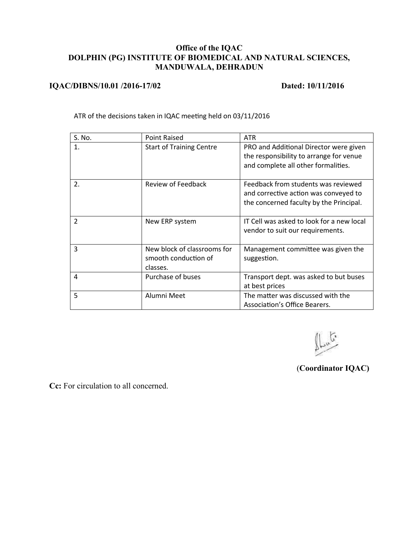#### **IQAC/DIBNS/10.01 /2016-17/02 Dated: 10/11/2016**

ATR of the decisions taken in IQAC meeting held on 03/11/2016

| S. No.         | <b>Point Raised</b>                                             | <b>ATR</b>                                                                                                               |
|----------------|-----------------------------------------------------------------|--------------------------------------------------------------------------------------------------------------------------|
| $\mathbf{1}$ . | <b>Start of Training Centre</b>                                 | PRO and Additional Director were given<br>the responsibility to arrange for venue<br>and complete all other formalities. |
| 2.             | Review of Feedback                                              | Feedback from students was reviewed<br>and corrective action was conveyed to<br>the concerned faculty by the Principal.  |
| $\overline{2}$ | New ERP system                                                  | IT Cell was asked to look for a new local<br>vendor to suit our requirements.                                            |
| 3              | New block of classrooms for<br>smooth conduction of<br>classes. | Management committee was given the<br>suggestion.                                                                        |
| 4              | Purchase of buses                                               | Transport dept. was asked to but buses<br>at best prices                                                                 |
| 5              | Alumni Meet                                                     | The matter was discussed with the<br>Association's Office Bearers.                                                       |

(**Coordinator IQAC)**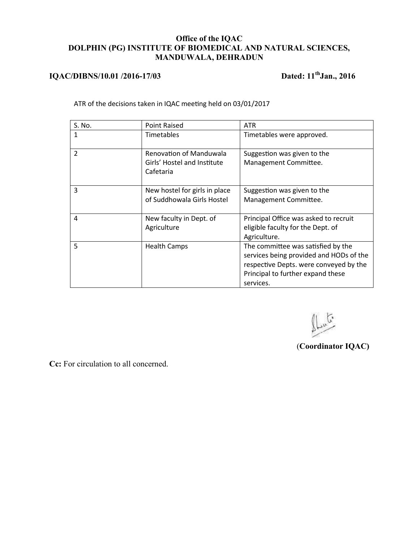# **IQAC/DIBNS/10.01 /2016-17/03 Dated: 11thJan., 2016**

ATR of the decisions taken in IQAC meeting held on 03/01/2017

| S. No.         | <b>Point Raised</b>                                                        | <b>ATR</b>                                                                                                                                                                |
|----------------|----------------------------------------------------------------------------|---------------------------------------------------------------------------------------------------------------------------------------------------------------------------|
| 1              | Timetables                                                                 | Timetables were approved.                                                                                                                                                 |
| $\overline{2}$ | <b>Renovation of Manduwala</b><br>Girls' Hostel and Institute<br>Cafetaria | Suggestion was given to the<br>Management Committee.                                                                                                                      |
| 3              | New hostel for girls in place<br>of Suddhowala Girls Hostel                | Suggestion was given to the<br>Management Committee.                                                                                                                      |
| 4              | New faculty in Dept. of<br>Agriculture                                     | Principal Office was asked to recruit<br>eligible faculty for the Dept. of<br>Agriculture.                                                                                |
| 5              | <b>Health Camps</b>                                                        | The committee was satisfied by the<br>services being provided and HODs of the<br>respective Depts. were conveyed by the<br>Principal to further expand these<br>services. |

(**Coordinator IQAC)**